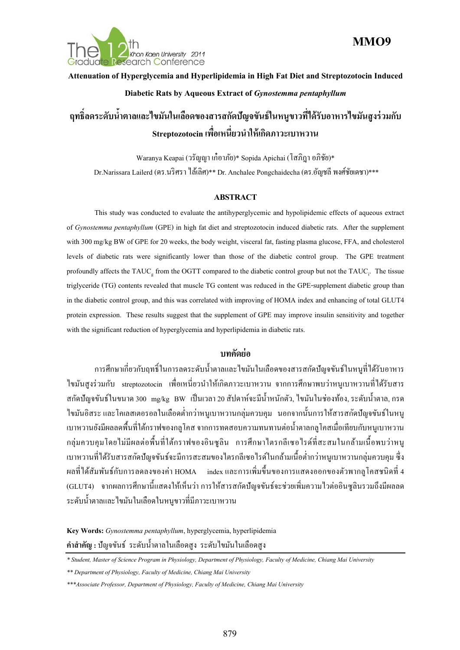

### **MMO9**

# **Attenuation of Hyperglycemia and Hyperlipidemia in High Fat Diet and Streptozotocin Induced Diabetic Rats by Aqueous Extract of** *Gynostemma pentaphyllum*

# **ฤทธ ลดระดับน ํ้าตาลและไขมันในเลือดของสารสกดปั ัญจขันธ์ในหนูขาวทไดี่ ้รับอาหารไขมันสูงร่วมกับ Streptozotocin เพอเหน ื่ ี่ ยวนําให้เกดภาวะเบาหวาน ิ**

Waranya Keapai (วรัญญา เก๋อาภัย)\* Sopida Apichai (โสภิฎาอภิชัย)\* Dr.Narissara Lailerd (ดร.นริศราไลเล้ ิศ)\*\* Dr. Anchalee Pongchaidecha (ดร.อัญชลีพงศ์ชัยเดชา)\*\*\*

### **ABSTRACT**

This study was conducted to evaluate the antihyperglycemic and hypolipidemic effects of aqueous extract of *Gynostemma pentaphyllum* (GPE) in high fat diet and streptozotocin induced diabetic rats. After the supplement with 300 mg/kg BW of GPE for 20 weeks, the body weight, visceral fat, fasting plasma glucose, FFA, and cholesterol levels of diabetic rats were significantly lower than those of the diabetic control group. The GPE treatment profoundly affects the TAUC<sub>g</sub> from the OGTT compared to the diabetic control group but not the TAUC<sub>i</sub>. The tissue triglyceride (TG) contents revealed that muscle TG content was reduced in the GPE-supplement diabetic group than in the diabetic control group, and this was correlated with improving of HOMA index and enhancing of total GLUT4 protein expression. These results suggest that the supplement of GPE may improve insulin sensitivity and together with the significant reduction of hyperglycemia and hyperlipidemia in diabetic rats.

### **บทคดยั ่อ**

การศึกษาเกี่ยวกับฤทธิ์ในการลดระดับน้ำตาลและไขมันในเลือดของสารสกัดปัญจขันธ์ในหนูที่ได้รับอาหาร  $\mathcal{L}^{\mathcal{L}}$ ไขมันสูงร่วมกับ streptozotocin เพื่อเหนี่ยวนำให้เกิดภาวะเบาหวาน จากการศึกษาพบว่าหนูเบาหวานที่ได้รับสาร สกัดปัญจขันธ์ในขนาด 300 mg/kg BW เป็นเวลา 20 สัปดาห์จะมีน้ำหนักตัว, ไขมันในช่องท้อง, ระดับน้ำตาล, กรด ไขมันอิสระ และโคเลสเตอรอลในเลือดต่ำกว่าหนูเบาหวานกลุ่มควบคุม นอกจากนั้นการให้สารสกัดปัญจขันธ์ในหนู ํ่ เบาหวานยังมีผลลดพื้นที่ใต้กราฟของกลูโคส จากการทดสอบความทนทานต่อน้ำตาลกลูโคสเมื่อเทียบกับหนูเบาหวาน กลุ่มควบคุมโดยไม่มีผลต่อพื้นที่ใต้กราฟของอินซูลิน การศึกษาไตรกลีเซอไรด์ที่สะสมในกล้ามเนื้อพบว่าหนู เบาหวานที่ได้รับสารสกัดปัญจขันธ์จะมีการสะสมของไตรกลีเซอไรด์ในกล้ามเนื้อต่ำกว่าหนูเบาหวานกลุ่มควบคุม ซึ่ง ํ่ ผลที่ ได้สัมพันธ์กับการลดลงของค่า HOMA index และการเพิ่มขึ้นของการแสดงออกของตัวพากลูโคสชนิดที่ 4 (GLUT4) จากผลการศึกษานี้แสดงให้เห็นว่า การให้สารสกัดปัญจขันธ์จะช่วยเพิ่มความไวต่ออินซูลินรวมถึงมีผลลด ระดับน้ำตาลและไขมันในเลือดในหนูขาวที่มีภาวะเบาหวาน

**Key Words:** *Gynostemma pentaphyllum*, hyperglycemia, hyperlipidemia คำสำคัญ : ปัญจขันธ์ ระดับน้ำตาลในเลือดสูง ระดับไขมันในเลือดสูง

*<sup>\*</sup> Student, Master of Science Program in Physiology, Department of Physiology, Faculty of Medicine, Chiang Mai University* 

*<sup>\*\*</sup> Department of Physiology, Faculty of Medicine, Chiang Mai University* 

*<sup>\*\*\*</sup>Associate Professor, Department of Physiology, Faculty of Medicine, Chiang Mai University*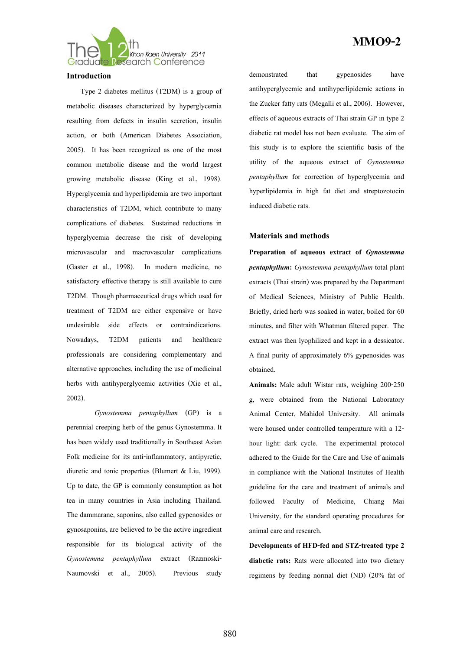

#### **Introduction**

Type 2 diabetes mellitus (T2DM) is a group of metabolic diseases characterized by hyperglycemia resulting from defects in insulin secretion, insulin action, or both (American Diabetes Association, 2005). It has been recognized as one of the most common metabolic disease and the world largest growing metabolic disease (King et al., 1998). Hyperglycemia and hyperlipidemia are two important characteristics of T2DM, which contribute to many complications of diabetes. Sustained reductions in hyperglycemia decrease the risk of developing microvascular and macrovascular complications (Gaster et al., 1998). In modern medicine, no satisfactory effective therapy is still available to cure T2DM. Though pharmaceutical drugs which used for treatment of T2DM are either expensive or have undesirable side effects or contraindications. Nowadays, T2DM patients and healthcare professionals are considering complementary and alternative approaches, including the use of medicinal herbs with antihyperglycemic activities (Xie et al., 2002).

*Gynostemma pentaphyllum* (GP) is a perennial creeping herb of the genus Gynostemma. It has been widely used traditionally in Southeast Asian Folk medicine for its anti-inflammatory, antipyretic, diuretic and tonic properties (Blumert & Liu, 1999). Up to date, the GP is commonly consumption as hot tea in many countries in Asia including Thailand. The dammarane, saponins, also called gypenosides or gynosaponins, are believed to be the active ingredient responsible for its biological activity of the *Gynostemma pentaphyllum* extract (Razmoski-Naumovski et al., 2005). Previous study

### **MMO9-2**

demonstrated that gypenosides have antihyperglycemic and antihyperlipidemic actions in the Zucker fatty rats (Megalli et al., 2006). However, effects of aqueous extracts of Thai strain GP in type 2 diabetic rat model has not been evaluate. The aim of this study is to explore the scientific basis of the utility of the aqueous extract of *Gynostemma pentaphyllum* for correction of hyperglycemia and hyperlipidemia in high fat diet and streptozotocin induced diabetic rats.

#### **Materials and methods**

**Preparation of aqueous extract of** *Gynostemma pentaphyllum***:** *Gynostemma pentaphyllum* total plant extracts (Thai strain) was prepared by the Department of Medical Sciences, Ministry of Public Health. Briefly, dried herb was soaked in water, boiled for 60 minutes, and filter with Whatman filtered paper. The extract was then lyophilized and kept in a dessicator. A final purity of approximately 6% gypenosides was obtained.

**Animals:** Male adult Wistar rats, weighing 200-250 g, were obtained from the National Laboratory Animal Center, Mahidol University. All animals were housed under controlled temperature with a 12 hour light: dark cycle. The experimental protocol adhered to the Guide for the Care and Use of animals in compliance with the National Institutes of Health guideline for the care and treatment of animals and followed Faculty of Medicine, Chiang Mai University, for the standard operating procedures for animal care and research.

**Developments of HFD-fed and STZ-treated type 2 diabetic rats:** Rats were allocated into two dietary regimens by feeding normal diet (ND) (20% fat of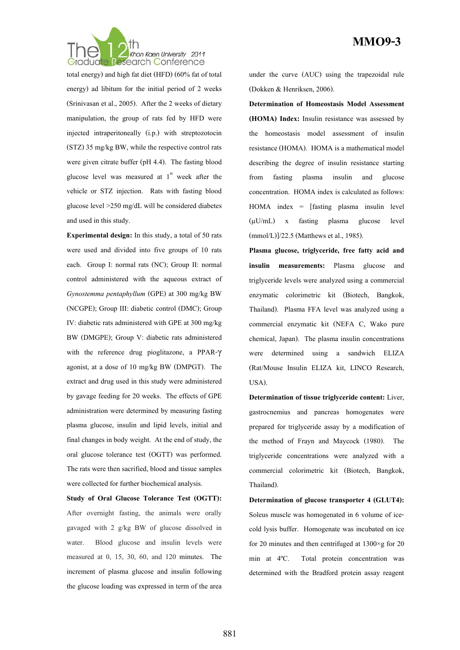

total energy) and high fat diet (HFD) (60% fat of total energy) ad libitum for the initial period of 2 weeks (Srinivasan et al., 2005). After the 2 weeks of dietary manipulation, the group of rats fed by HFD were injected intraperitoneally (i.p.) with streptozotocin (STZ) 35 mg/kg BW, while the respective control rats were given citrate buffer (pH 4.4). The fasting blood glucose level was measured at  $1<sup>st</sup>$  week after the vehicle or STZ injection. Rats with fasting blood glucose level >250 mg/dL will be considered diabetes and used in this study.

**Experimental design:** In this study, a total of 50 rats were used and divided into five groups of 10 rats each. Group I: normal rats (NC); Group II: normal control administered with the aqueous extract of *Gynostemma pentaphyllum* (GPE) at 300 mg/kg BW (NCGPE); Group III: diabetic control (DMC); Group IV: diabetic rats administered with GPE at 300 mg/kg BW (DMGPE); Group V: diabetic rats administered with the reference drug pioglitazone, a PPAR-γ agonist, at a dose of 10 mg/kg BW (DMPGT). The extract and drug used in this study were administered by gavage feeding for 20 weeks. The effects of GPE administration were determined by measuring fasting plasma glucose, insulin and lipid levels, initial and final changes in body weight. At the end of study, the oral glucose tolerance test (OGTT) was performed. The rats were then sacrified, blood and tissue samples were collected for further biochemical analysis.

**Study of Oral Glucose Tolerance Test (OGTT):** After overnight fasting, the animals were orally gavaged with 2 g/kg BW of glucose dissolved in water. Blood glucose and insulin levels were measured at 0, 15, 30, 60, and 120 minutes. The increment of plasma glucose and insulin following the glucose loading was expressed in term of the area under the curve (AUC) using the trapezoidal rule (Dokken & Henriksen, 2006).

**Determination of Homeostasis Model Assessment (HOMA) Index:** Insulin resistance was assessed by the homeostasis model assessment of insulin resistance (HOMA). HOMA is a mathematical model describing the degree of insulin resistance starting from fasting plasma insulin and glucose concentration. HOMA index is calculated as follows: HOMA index = [fasting plasma insulin level (μU/mL) x fasting plasma glucose level (mmol/L)]/22.5 (Matthews et al., 1985).

**Plasma glucose, triglyceride, free fatty acid and insulin measurements:** Plasma glucose and triglyceride levels were analyzed using a commercial enzymatic colorimetric kit (Biotech, Bangkok, Thailand). Plasma FFA level was analyzed using a commercial enzymatic kit (NEFA C, Wako pure chemical, Japan). The plasma insulin concentrations were determined using a sandwich ELIZA (Rat/Mouse Insulin ELIZA kit, LINCO Research, USA).

**Determination of tissue triglyceride content:** Liver, gastrocnemius and pancreas homogenates were prepared for triglyceride assay by a modification of the method of Frayn and Maycock (1980). The triglyceride concentrations were analyzed with a commercial colorimetric kit (Biotech, Bangkok, Thailand).

**Determination of glucose transporter 4 (GLUT4):** Soleus muscle was homogenated in 6 volume of icecold lysis buffer. Homogenate was incubated on ice for 20 minutes and then centrifuged at  $1300 \times g$  for 20 min at 4ºC. Total protein concentration was determined with the Bradford protein assay reagent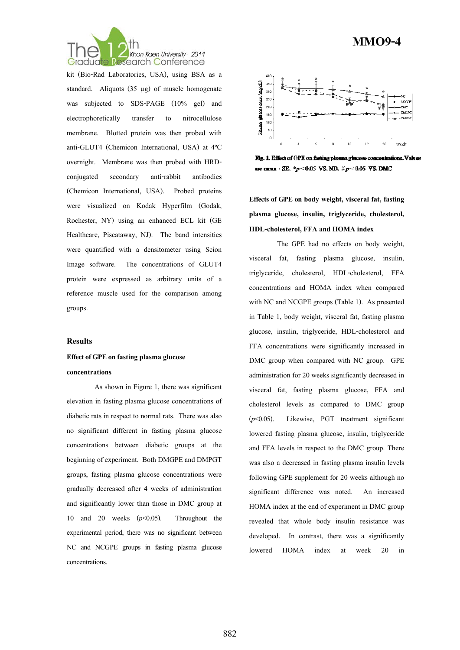

kit (Bio-Rad Laboratories, USA), using BSA as a standard. Aliquots (35 μg) of muscle homogenate was subjected to SDS-PAGE (10% gel) and electrophoretically transfer to nitrocellulose membrane. Blotted protein was then probed with anti-GLUT4 (Chemicon International, USA) at 4ºC overnight. Membrane was then probed with HRDconjugated secondary anti-rabbit antibodies (Chemicon International, USA). Probed proteins were visualized on Kodak Hyperfilm (Godak, Rochester, NY) using an enhanced ECL kit (GE Healthcare, Piscataway, NJ). The band intensities were quantified with a densitometer using Scion Image software. The concentrations of GLUT4 protein were expressed as arbitrary units of a reference muscle used for the comparison among groups.

#### **Results**

### **Effect of GPE on fasting plasma glucose concentrations**

As shown in Figure 1, there was significant elevation in fasting plasma glucose concentrations of diabetic rats in respect to normal rats. There was also no significant different in fasting plasma glucose concentrations between diabetic groups at the beginning of experiment. Both DMGPE and DMPGT groups, fasting plasma glucose concentrations were gradually decreased after 4 weeks of administration and significantly lower than those in DMC group at 10 and 20 weeks (*p*<0.05). Throughout the experimental period, there was no significant between NC and NCGPE groups in fasting plasma glucose concentrations.



Fig. 1. Effect of GPE on fasting plasma glucose concentrations. Values are mean : SE,  $^{*}p$  < 0.05 VS, ND,  $\#p$  < 0.05 VS, DMC

**Effects of GPE on body weight, visceral fat, fasting plasma glucose, insulin, triglyceride, cholesterol, HDL-cholesterol, FFA and HOMA index** 

 The GPE had no effects on body weight, visceral fat, fasting plasma glucose, insulin, triglyceride, cholesterol, HDL-cholesterol, FFA concentrations and HOMA index when compared with NC and NCGPE groups (Table 1). As presented in Table 1, body weight, visceral fat, fasting plasma glucose, insulin, triglyceride, HDL-cholesterol and FFA concentrations were significantly increased in DMC group when compared with NC group. GPE administration for 20 weeks significantly decreased in visceral fat, fasting plasma glucose, FFA and cholesterol levels as compared to DMC group (*p*<0.05). Likewise, PGT treatment significant lowered fasting plasma glucose, insulin, triglyceride and FFA levels in respect to the DMC group. There was also a decreased in fasting plasma insulin levels following GPE supplement for 20 weeks although no significant difference was noted. An increased HOMA index at the end of experiment in DMC group revealed that whole body insulin resistance was developed. In contrast, there was a significantly lowered HOMA index at week 20 in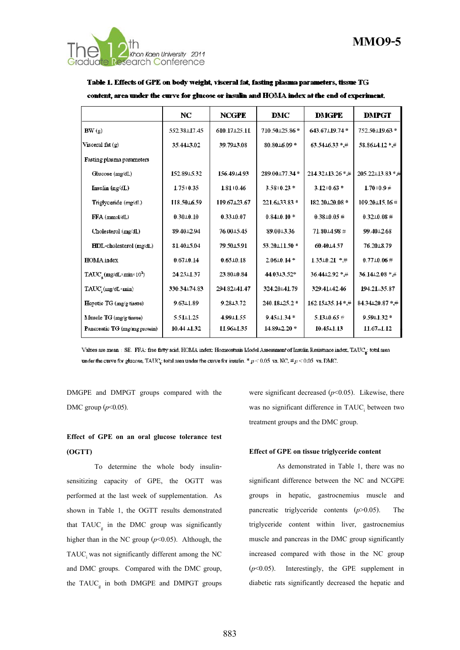

Table 1. Effects of GPE on body weight, visceral fat, fasting plasma parameters, tissue TG content, area under the curve for glucose or insulin and HOMA index at the end of experiment.

|                                                                 | NC               | <b>NCGPE</b>    | <b>DMC</b>        | <b>DMGPE</b>             | <b>DMPGT</b>       |
|-----------------------------------------------------------------|------------------|-----------------|-------------------|--------------------------|--------------------|
| BW(g)                                                           | 552.38 17.45     | 610.17125.11    | 710.50 125.86*    | 643.67±19.74*            | 752.50±19.63 *     |
| Visceral fat (g)                                                | 35.4413.02       | 39.79 13.08     | 80.80 16.09*      | 63.5416.33*#             | 58.8614.12 *.#     |
| Fasting plasma parameters                                       |                  |                 |                   |                          |                    |
| Glucose (mg/dL)                                                 | 152.89 - 5.32    | 156.49 14.93    | 289.00+77.34*     | 214.32±13.26 *.#         | 205.22±13.83 * 月   |
| Insulin (ng/dL)                                                 | $1.75 + 0.35$    | 1.81   0.46     | $3.58 + 0.23$ *   | $3.12 + 0.63$ *          | $1.70 + 0.9 \#$    |
| Triglyceride (mg/dl.)                                           | 118.5016.59      | 119.67±23.67    | 221.6133.83 *     | 182.20±20.08 *           | 109.20±15.16 #     |
| FFA (mmol/dL)                                                   | $0.30 + 0.10$    | $0.33 \pm 0.07$ | $0.84 \pm 0.10$ * | $0.38 \pm 0.05 \pm 0.05$ | $0.32 \pm 0.08 \#$ |
| Cholesterol (mg/dL)                                             | 894012.94        | 76.00 15.45     | 89.0013.36        | $71.80 - 4.98 \neq$      | 99.4012.68         |
| <b>HDL-cholesterol</b> (mg/dL)                                  | 81.4015.04       | 79.5015.91      | 53.20111.50 *     | 60.4014.57               | 76.2018.79         |
| <b>HOMA</b> index                                               | $0.67 + 0.14$    | $0.65 \pm 0.18$ | $2.06 \pm 0.14$ * | $1.35 \pm 0.21$ *.#      | $0.77 \pm 0.06 \#$ |
| $\text{TAUC}_{\star}(\text{mg/dL}\times \text{min}\times 10^2)$ | 24.25±1.37       | 23.80 10.84     | 44.03.13.52*      | 36.4412.92 * #           | 36.14⊥2.08 * #     |
| TAUC; (mg/dL *min)                                              | 330.34±74.83     | 294.82⊥41.47    | 324.20141.79      | 329.41142.46             | 194.21 - 35.87     |
| Hepatic TG (mg/g tissue)                                        | $9.63 \pm 1.89$  | $9.28 + 3.72$   | 240.18±25.2 *     | 162.15135.14*.#          | 84.34⊥20.87 *.#    |
| Muscle TG (mg/g tissue)                                         | $5.51 \pm 1.25$  | $4.99 - 1.55$   | $9.45 \pm 1.34$ * | $5.13 \pm 0.65$ #        | $9.59 \pm 1.32$ *  |
| Pancreatic TG (mg/mg protein)                                   | $10.44 \pm 1.32$ | 11.96 1.35      | 14.89 + 2.20 *    | $10.45 \pm 1.13$         | $11.67 - 1.12$     |

Values are mean : SE. FFA: free fatty acid, HOMA index: Homeostasis Model Assessment of Insulin Resistance index, TAUC<sub>e</sub>: total area under the curve for glucose, TAUC<sub>4</sub>: total area under the curve for insulin. \*  $p \le 0.05$  vs. NC,  $\#p \le 0.05$  vs. DMC.

DMGPE and DMPGT groups compared with the DMC group (*p*<0.05).

### **Effect of GPE on an oral glucose tolerance test (OGTT)**

To determine the whole body insulinsensitizing capacity of GPE, the OGTT was performed at the last week of supplementation. As shown in Table 1, the OGTT results demonstrated that  $TAUC<sub>g</sub>$  in the DMC group was significantly higher than in the NC group  $(p<0.05)$ . Although, the TAUC was not significantly different among the NC and DMC groups. Compared with the DMC group, the  $TAUC<sub>g</sub>$  in both DMGPE and DMPGT groups were significant decreased  $(p<0.05)$ . Likewise, there was no significant difference in TAUC<sub>i</sub> between two treatment groups and the DMC group.

#### **Effect of GPE on tissue triglyceride content**

As demonstrated in Table 1, there was no significant difference between the NC and NCGPE groups in hepatic, gastrocnemius muscle and pancreatic triglyceride contents (*p*>0.05). The triglyceride content within liver, gastrocnemius muscle and pancreas in the DMC group significantly increased compared with those in the NC group (*p*<0.05). Interestingly, the GPE supplement in diabetic rats significantly decreased the hepatic and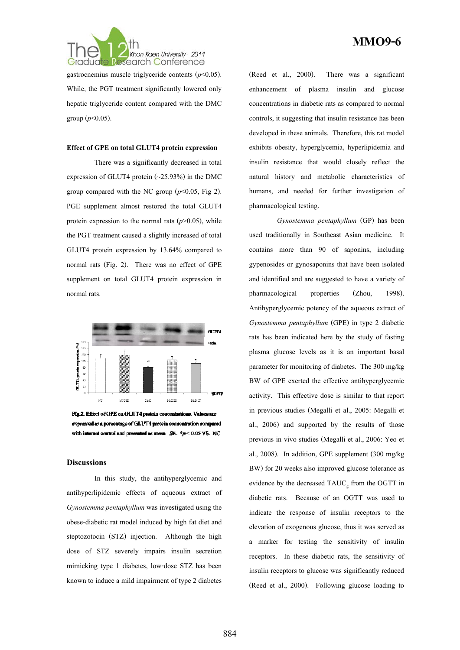

gastrocnemius muscle triglyceride contents (*p*<0.05). While, the PGT treatment significantly lowered only hepatic triglyceride content compared with the DMC group  $(p<0.05)$ .

#### **Effect of GPE on total GLUT4 protein expression**

 There was a significantly decreased in total expression of GLUT4 protein (~25.93%) in the DMC group compared with the NC group  $(p<0.05,$  Fig 2). PGE supplement almost restored the total GLUT4 protein expression to the normal rats  $(p>0.05)$ , while the PGT treatment caused a slightly increased of total GLUT4 protein expression by 13.64% compared to normal rats (Fig. 2). There was no effect of GPE supplement on total GLUT4 protein expression in normal rats.



Fig.2. Effect of GPE on GLUT4 protein concentrations. Values are expressed as a percentage of GLUT4 protein concentration compared with internal control and presented as mean  $\cdot$  SB.  $* p \le 0.05$  VS. NC

#### **Discussions**

 In this study, the antihyperglycemic and antihyperlipidemic effects of aqueous extract of *Gynostemma pentaphyllum* was investigated using the obese-diabetic rat model induced by high fat diet and steptozotocin (STZ) injection. Although the high dose of STZ severely impairs insulin secretion mimicking type 1 diabetes, low-dose STZ has been known to induce a mild impairment of type 2 diabetes

### **MMO9-6**

(Reed et al., 2000). There was a significant enhancement of plasma insulin and glucose concentrations in diabetic rats as compared to normal controls, it suggesting that insulin resistance has been developed in these animals. Therefore, this rat model exhibits obesity, hyperglycemia, hyperlipidemia and insulin resistance that would closely reflect the natural history and metabolic characteristics of humans, and needed for further investigation of pharmacological testing.

*Gynostemma pentaphyllum* (GP) has been used traditionally in Southeast Asian medicine. It contains more than 90 of saponins, including gypenosides or gynosaponins that have been isolated and identified and are suggested to have a variety of pharmacological properties (Zhou, 1998). Antihyperglycemic potency of the aqueous extract of *Gynostemma pentaphyllum* (GPE) in type 2 diabetic rats has been indicated here by the study of fasting plasma glucose levels as it is an important basal parameter for monitoring of diabetes. The 300 mg/kg BW of GPE exerted the effective antihyperglycemic activity. This effective dose is similar to that report in previous studies (Megalli et al., 2005: Megalli et al., 2006) and supported by the results of those previous in vivo studies (Megalli et al., 2006: Yeo et al., 2008). In addition, GPE supplement (300 mg/kg BW) for 20 weeks also improved glucose tolerance as evidence by the decreased  $TAUC<sub>g</sub>$  from the OGTT in diabetic rats. Because of an OGTT was used to indicate the response of insulin receptors to the elevation of exogenous glucose, thus it was served as a marker for testing the sensitivity of insulin receptors. In these diabetic rats, the sensitivity of insulin receptors to glucose was significantly reduced (Reed et al., 2000). Following glucose loading to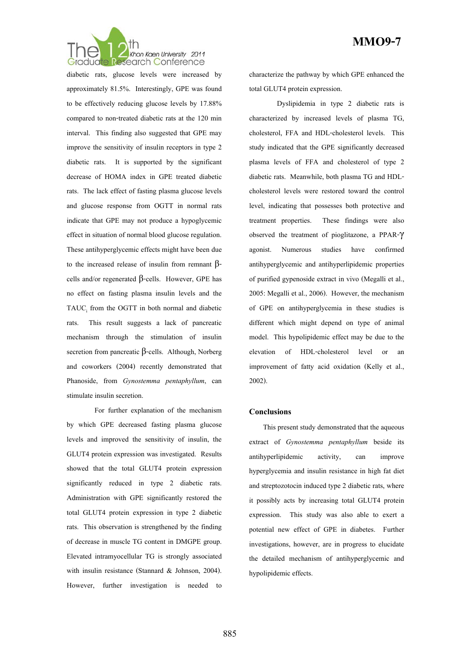

diabetic rats, glucose levels were increased by approximately 81.5%. Interestingly, GPE was found to be effectively reducing glucose levels by 17.88% compared to non-treated diabetic rats at the 120 min interval. This finding also suggested that GPE may improve the sensitivity of insulin receptors in type 2 diabetic rats. It is supported by the significant decrease of HOMA index in GPE treated diabetic rats. The lack effect of fasting plasma glucose levels and glucose response from OGTT in normal rats indicate that GPE may not produce a hypoglycemic effect in situation of normal blood glucose regulation. These antihyperglycemic effects might have been due to the increased release of insulin from remnant  $β$ cells and/or regenerated  $β$ -cells. However, GPE has no effect on fasting plasma insulin levels and the  $TAUC<sub>i</sub>$  from the OGTT in both normal and diabetic rats. This result suggests a lack of pancreatic mechanism through the stimulation of insulin secretion from pancreatic  $β$ -cells. Although, Norberg and coworkers (2004) recently demonstrated that Phanoside, from *Gynostemma pentaphyllum*, can stimulate insulin secretion.

 For further explanation of the mechanism by which GPE decreased fasting plasma glucose levels and improved the sensitivity of insulin, the GLUT4 protein expression was investigated. Results showed that the total GLUT4 protein expression significantly reduced in type 2 diabetic rats. Administration with GPE significantly restored the total GLUT4 protein expression in type 2 diabetic rats. This observation is strengthened by the finding of decrease in muscle TG content in DMGPE group. Elevated intramyocellular TG is strongly associated with insulin resistance (Stannard & Johnson, 2004). However, further investigation is needed to characterize the pathway by which GPE enhanced the total GLUT4 protein expression.

 Dyslipidemia in type 2 diabetic rats is characterized by increased levels of plasma TG, cholesterol, FFA and HDL-cholesterol levels. This study indicated that the GPE significantly decreased plasma levels of FFA and cholesterol of type 2 diabetic rats. Meanwhile, both plasma TG and HDLcholesterol levels were restored toward the control level, indicating that possesses both protective and treatment properties. These findings were also observed the treatment of pioglitazone, a PPAR-γ agonist. Numerous studies have confirmed antihyperglycemic and antihyperlipidemic properties of purified gypenoside extract in vivo (Megalli et al., 2005: Megalli et al., 2006). However, the mechanism of GPE on antihyperglycemia in these studies is different which might depend on type of animal model. This hypolipidemic effect may be due to the elevation of HDL-cholesterol level or an improvement of fatty acid oxidation (Kelly et al., 2002).

#### **Conclusions**

This present study demonstrated that the aqueous extract of *Gynostemma pentaphyllum* beside its antihyperlipidemic activity, can improve hyperglycemia and insulin resistance in high fat diet and streptozotocin induced type 2 diabetic rats, where it possibly acts by increasing total GLUT4 protein expression. This study was also able to exert a potential new effect of GPE in diabetes. Further investigations, however, are in progress to elucidate the detailed mechanism of antihyperglycemic and hypolipidemic effects.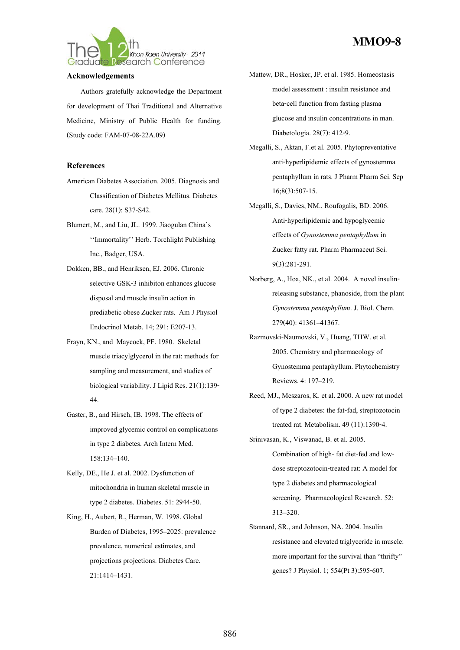

#### **Acknowledgements**

Authors gratefully acknowledge the Department for development of Thai Traditional and Alternative Medicine, Ministry of Public Health for funding. (Study code: FAM-07-08-22A.09)

#### **References**

- American Diabetes Association. 2005. Diagnosis and Classification of Diabetes Mellitus. Diabetes care. 28(1): S37-S42.
- Blumert, M., and Liu, JL. 1999. Jiaogulan China's ''Immortality'' Herb. Torchlight Publishing Inc., Badger, USA.
- Dokken, BB., and Henriksen, EJ. 2006. Chronic selective GSK-3 inhibiton enhances glucose disposal and muscle insulin action in prediabetic obese Zucker rats. Am J Physiol Endocrinol Metab. 14; 291: E207-13.
- Frayn, KN., and Maycock, PF. 1980. Skeletal muscle triacylglycerol in the rat: methods for sampling and measurement, and studies of biological variability. J Lipid Res. 21(1):139- 44.
- Gaster, B., and Hirsch, IB. 1998. The effects of improved glycemic control on complications in type 2 diabetes. Arch Intern Med. 158:134–140.
- Kelly, DE., He J. et al. 2002. Dysfunction of mitochondria in human skeletal muscle in type 2 diabetes. Diabetes. 51: 2944-50.
- King, H., Aubert, R., Herman, W. 1998. Global Burden of Diabetes, 1995–2025: prevalence prevalence, numerical estimates, and projections projections. Diabetes Care. 21:1414–1431.

## **MMO9-8**

- Mattew, DR., Hosker, JP. et al. 1985. Homeostasis model assessment : insulin resistance and beta-cell function from fasting plasma glucose and insulin concentrations in man. Diabetologia. 28(7): 412-9.
- Megalli, S., Aktan, F.et al. 2005. Phytopreventative anti-hyperlipidemic effects of gynostemma pentaphyllum in rats. J Pharm Pharm Sci. Sep 16;8(3):507-15.
- Megalli, S., Davies, NM., Roufogalis, BD. 2006. Anti-hyperlipidemic and hypoglycemic effects of *Gynostemma pentaphyllum* in Zucker fatty rat. Pharm Pharmaceut Sci. 9(3):281-291.
- Norberg, A., Hoa, NK., et al. 2004. A novel insulinreleasing substance, phanoside, from the plant *Gynostemma pentaphyllum*. J. Biol. Chem. 279(40): 41361–41367.
- Razmovski-Naumovski, V., Huang, THW. et al. 2005. Chemistry and pharmacology of Gynostemma pentaphyllum. Phytochemistry Reviews. 4: 197–219.
- Reed, MJ., Meszaros, K. et al. 2000. A new rat model of type 2 diabetes: the fat-fad, streptozotocin treated rat. Metabolism. 49 (11):1390-4.
- Srinivasan, K., Viswanad, B. et al. 2005. Combination of high- fat diet-fed and lowdose streptozotocin-treated rat: A model for type 2 diabetes and pharmacological screening. Pharmacological Research. 52: 313–320.
- Stannard, SR., and Johnson, NA. 2004. Insulin resistance and elevated triglyceride in muscle: more important for the survival than "thrifty" genes? J Physiol. 1; 554(Pt 3):595-607.